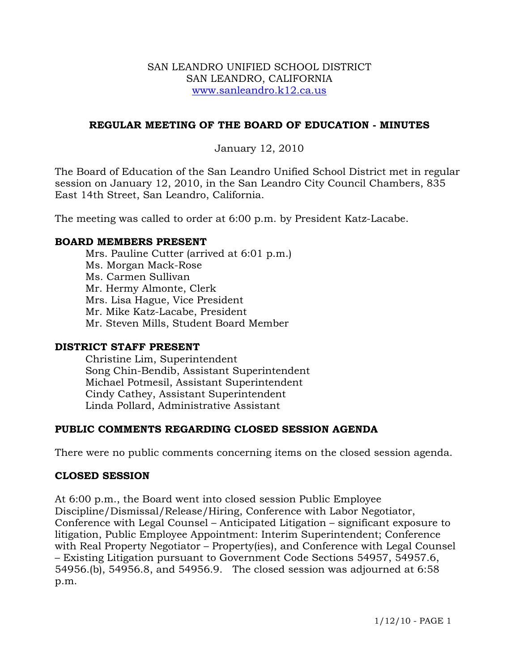#### SAN LEANDRO UNIFIED SCHOOL DISTRICT SAN LEANDRO, CALIFORNIA www.sanleandro.k12.ca.us

## **REGULAR MEETING OF THE BOARD OF EDUCATION - MINUTES**

## January 12, 2010

The Board of Education of the San Leandro Unified School District met in regular session on January 12, 2010, in the San Leandro City Council Chambers, 835 East 14th Street, San Leandro, California.

The meeting was called to order at 6:00 p.m. by President Katz-Lacabe.

### **BOARD MEMBERS PRESENT**

Mrs. Pauline Cutter (arrived at 6:01 p.m.) Ms. Morgan Mack-Rose Ms. Carmen Sullivan Mr. Hermy Almonte, Clerk Mrs. Lisa Hague, Vice President Mr. Mike Katz-Lacabe, President Mr. Steven Mills, Student Board Member

## **DISTRICT STAFF PRESENT**

Christine Lim, Superintendent Song Chin-Bendib, Assistant Superintendent Michael Potmesil, Assistant Superintendent Cindy Cathey, Assistant Superintendent Linda Pollard, Administrative Assistant

## **PUBLIC COMMENTS REGARDING CLOSED SESSION AGENDA**

There were no public comments concerning items on the closed session agenda.

## **CLOSED SESSION**

At 6:00 p.m., the Board went into closed session Public Employee Discipline/Dismissal/Release/Hiring, Conference with Labor Negotiator, Conference with Legal Counsel – Anticipated Litigation – significant exposure to litigation, Public Employee Appointment: Interim Superintendent; Conference with Real Property Negotiator – Property(ies), and Conference with Legal Counsel – Existing Litigation pursuant to Government Code Sections 54957, 54957.6, 54956.(b), 54956.8, and 54956.9. The closed session was adjourned at 6:58 p.m.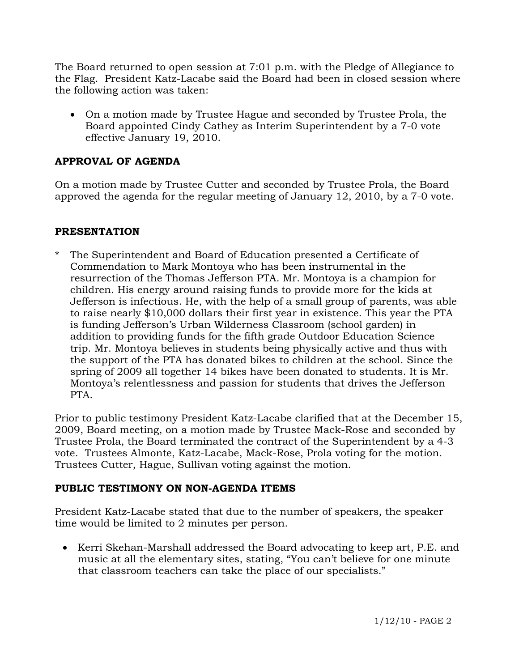The Board returned to open session at 7:01 p.m. with the Pledge of Allegiance to the Flag. President Katz-Lacabe said the Board had been in closed session where the following action was taken:

• On a motion made by Trustee Hague and seconded by Trustee Prola, the Board appointed Cindy Cathey as Interim Superintendent by a 7-0 vote effective January 19, 2010.

# **APPROVAL OF AGENDA**

On a motion made by Trustee Cutter and seconded by Trustee Prola, the Board approved the agenda for the regular meeting of January 12, 2010, by a 7-0 vote.

## **PRESENTATION**

The Superintendent and Board of Education presented a Certificate of Commendation to Mark Montoya who has been instrumental in the resurrection of the Thomas Jefferson PTA. Mr. Montoya is a champion for children. His energy around raising funds to provide more for the kids at Jefferson is infectious. He, with the help of a small group of parents, was able to raise nearly \$10,000 dollars their first year in existence. This year the PTA is funding Jefferson's Urban Wilderness Classroom (school garden) in addition to providing funds for the fifth grade Outdoor Education Science trip. Mr. Montoya believes in students being physically active and thus with the support of the PTA has donated bikes to children at the school. Since the spring of 2009 all together 14 bikes have been donated to students. It is Mr. Montoya's relentlessness and passion for students that drives the Jefferson PTA.

Prior to public testimony President Katz-Lacabe clarified that at the December 15, 2009, Board meeting, on a motion made by Trustee Mack-Rose and seconded by Trustee Prola, the Board terminated the contract of the Superintendent by a 4-3 vote. Trustees Almonte, Katz-Lacabe, Mack-Rose, Prola voting for the motion. Trustees Cutter, Hague, Sullivan voting against the motion.

## **PUBLIC TESTIMONY ON NON-AGENDA ITEMS**

President Katz-Lacabe stated that due to the number of speakers, the speaker time would be limited to 2 minutes per person.

• Kerri Skehan-Marshall addressed the Board advocating to keep art, P.E. and music at all the elementary sites, stating, "You can't believe for one minute that classroom teachers can take the place of our specialists."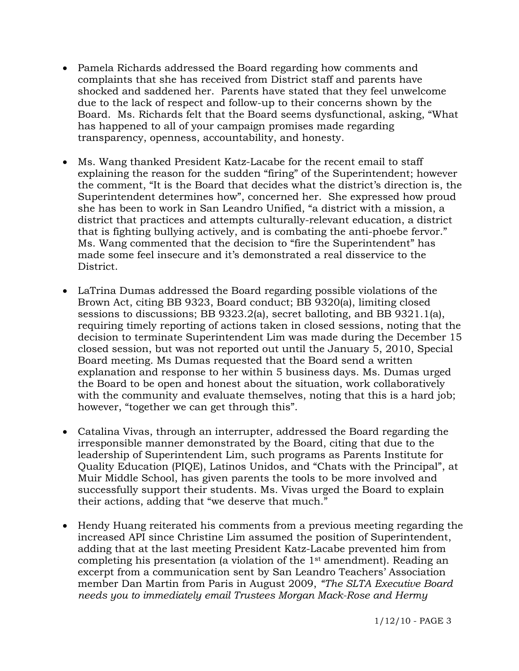- Pamela Richards addressed the Board regarding how comments and complaints that she has received from District staff and parents have shocked and saddened her. Parents have stated that they feel unwelcome due to the lack of respect and follow-up to their concerns shown by the Board. Ms. Richards felt that the Board seems dysfunctional, asking, "What has happened to all of your campaign promises made regarding transparency, openness, accountability, and honesty.
- Ms. Wang thanked President Katz-Lacabe for the recent email to staff explaining the reason for the sudden "firing" of the Superintendent; however the comment, "It is the Board that decides what the district's direction is, the Superintendent determines how", concerned her. She expressed how proud she has been to work in San Leandro Unified, "a district with a mission, a district that practices and attempts culturally-relevant education, a district that is fighting bullying actively, and is combating the anti-phoebe fervor." Ms. Wang commented that the decision to "fire the Superintendent" has made some feel insecure and it's demonstrated a real disservice to the District.
- LaTrina Dumas addressed the Board regarding possible violations of the Brown Act, citing BB 9323, Board conduct; BB 9320(a), limiting closed sessions to discussions; BB 9323.2(a), secret balloting, and BB 9321.1(a), requiring timely reporting of actions taken in closed sessions, noting that the decision to terminate Superintendent Lim was made during the December 15 closed session, but was not reported out until the January 5, 2010, Special Board meeting. Ms Dumas requested that the Board send a written explanation and response to her within 5 business days. Ms. Dumas urged the Board to be open and honest about the situation, work collaboratively with the community and evaluate themselves, noting that this is a hard job; however, "together we can get through this".
- Catalina Vivas, through an interrupter, addressed the Board regarding the irresponsible manner demonstrated by the Board, citing that due to the leadership of Superintendent Lim, such programs as Parents Institute for Quality Education (PIQE), Latinos Unidos, and "Chats with the Principal", at Muir Middle School, has given parents the tools to be more involved and successfully support their students. Ms. Vivas urged the Board to explain their actions, adding that "we deserve that much."
- Hendy Huang reiterated his comments from a previous meeting regarding the increased API since Christine Lim assumed the position of Superintendent, adding that at the last meeting President Katz-Lacabe prevented him from completing his presentation (a violation of the  $1<sup>st</sup>$  amendment). Reading an excerpt from a communication sent by San Leandro Teachers' Association member Dan Martin from Paris in August 2009, *"The SLTA Executive Board needs you to immediately email Trustees Morgan Mack-Rose and Hermy*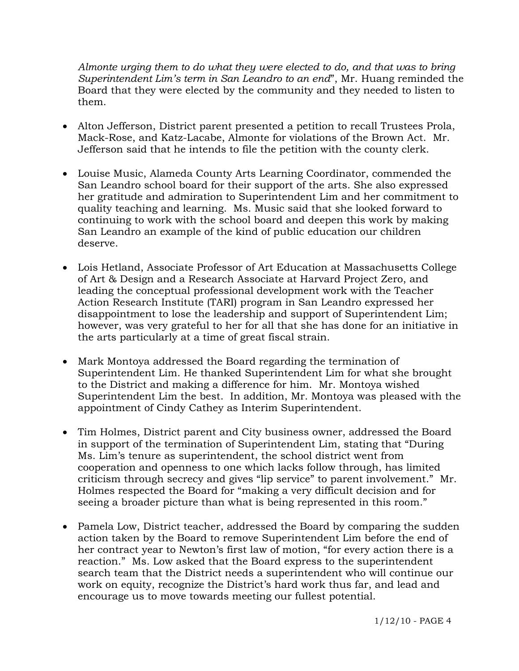*Almonte urging them to do what they were elected to do, and that was to bring Superintendent Lim's term in San Leandro to an end*", Mr. Huang reminded the Board that they were elected by the community and they needed to listen to them.

- Alton Jefferson, District parent presented a petition to recall Trustees Prola, Mack-Rose, and Katz-Lacabe, Almonte for violations of the Brown Act. Mr. Jefferson said that he intends to file the petition with the county clerk.
- Louise Music, Alameda County Arts Learning Coordinator, commended the San Leandro school board for their support of the arts. She also expressed her gratitude and admiration to Superintendent Lim and her commitment to quality teaching and learning. Ms. Music said that she looked forward to continuing to work with the school board and deepen this work by making San Leandro an example of the kind of public education our children deserve.
- Lois Hetland, Associate Professor of Art Education at Massachusetts College of Art & Design and a Research Associate at Harvard Project Zero, and leading the conceptual professional development work with the Teacher Action Research Institute (TARI) program in San Leandro expressed her disappointment to lose the leadership and support of Superintendent Lim; however, was very grateful to her for all that she has done for an initiative in the arts particularly at a time of great fiscal strain.
- Mark Montoya addressed the Board regarding the termination of Superintendent Lim. He thanked Superintendent Lim for what she brought to the District and making a difference for him. Mr. Montoya wished Superintendent Lim the best. In addition, Mr. Montoya was pleased with the appointment of Cindy Cathey as Interim Superintendent.
- Tim Holmes, District parent and City business owner, addressed the Board in support of the termination of Superintendent Lim, stating that "During Ms. Lim's tenure as superintendent, the school district went from cooperation and openness to one which lacks follow through, has limited criticism through secrecy and gives "lip service" to parent involvement." Mr. Holmes respected the Board for "making a very difficult decision and for seeing a broader picture than what is being represented in this room."
- Pamela Low, District teacher, addressed the Board by comparing the sudden action taken by the Board to remove Superintendent Lim before the end of her contract year to Newton's first law of motion, "for every action there is a reaction." Ms. Low asked that the Board express to the superintendent search team that the District needs a superintendent who will continue our work on equity, recognize the District's hard work thus far, and lead and encourage us to move towards meeting our fullest potential.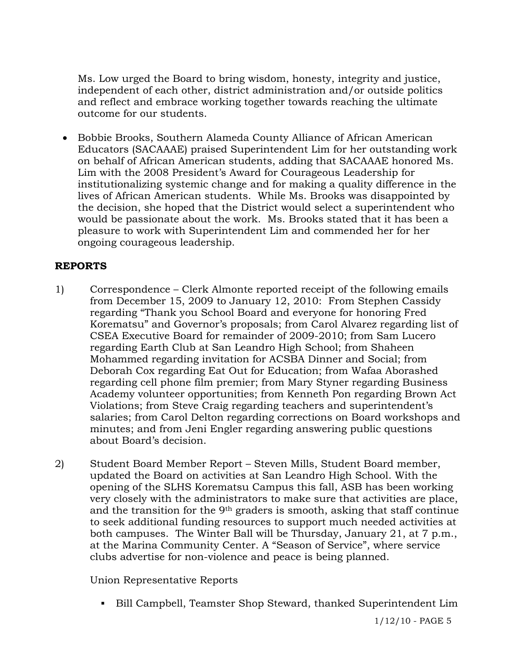Ms. Low urged the Board to bring wisdom, honesty, integrity and justice, independent of each other, district administration and/or outside politics and reflect and embrace working together towards reaching the ultimate outcome for our students.

• Bobbie Brooks, Southern Alameda County Alliance of African American Educators (SACAAAE) praised Superintendent Lim for her outstanding work on behalf of African American students, adding that SACAAAE honored Ms. Lim with the 2008 President's Award for Courageous Leadership for institutionalizing systemic change and for making a quality difference in the lives of African American students. While Ms. Brooks was disappointed by the decision, she hoped that the District would select a superintendent who would be passionate about the work. Ms. Brooks stated that it has been a pleasure to work with Superintendent Lim and commended her for her ongoing courageous leadership.

# **REPORTS**

- 1) Correspondence Clerk Almonte reported receipt of the following emails from December 15, 2009 to January 12, 2010: From Stephen Cassidy regarding "Thank you School Board and everyone for honoring Fred Korematsu" and Governor's proposals; from Carol Alvarez regarding list of CSEA Executive Board for remainder of 2009-2010; from Sam Lucero regarding Earth Club at San Leandro High School; from Shaheen Mohammed regarding invitation for ACSBA Dinner and Social; from Deborah Cox regarding Eat Out for Education; from Wafaa Aborashed regarding cell phone film premier; from Mary Styner regarding Business Academy volunteer opportunities; from Kenneth Pon regarding Brown Act Violations; from Steve Craig regarding teachers and superintendent's salaries; from Carol Delton regarding corrections on Board workshops and minutes; and from Jeni Engler regarding answering public questions about Board's decision.
- 2) Student Board Member Report Steven Mills, Student Board member, updated the Board on activities at San Leandro High School. With the opening of the SLHS Korematsu Campus this fall, ASB has been working very closely with the administrators to make sure that activities are place, and the transition for the  $9<sup>th</sup>$  graders is smooth, asking that staff continue to seek additional funding resources to support much needed activities at both campuses. The Winter Ball will be Thursday, January 21, at 7 p.m., at the Marina Community Center. A "Season of Service", where service clubs advertise for non-violence and peace is being planned.

Union Representative Reports

Bill Campbell, Teamster Shop Steward, thanked Superintendent Lim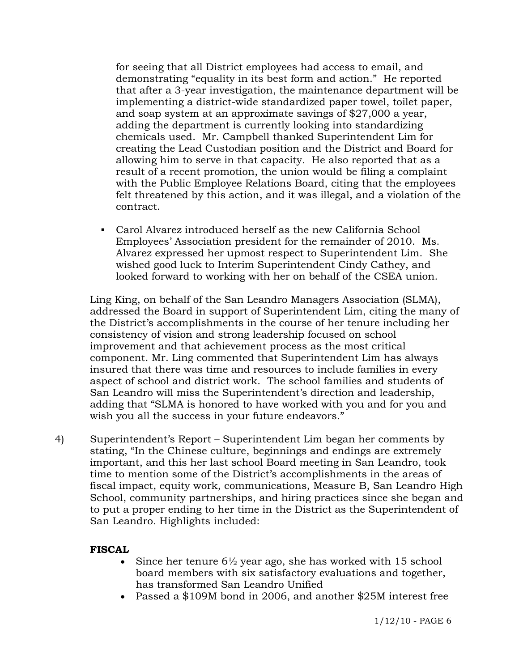for seeing that all District employees had access to email, and demonstrating "equality in its best form and action." He reported that after a 3-year investigation, the maintenance department will be implementing a district-wide standardized paper towel, toilet paper, and soap system at an approximate savings of \$27,000 a year, adding the department is currently looking into standardizing chemicals used. Mr. Campbell thanked Superintendent Lim for creating the Lead Custodian position and the District and Board for allowing him to serve in that capacity. He also reported that as a result of a recent promotion, the union would be filing a complaint with the Public Employee Relations Board, citing that the employees felt threatened by this action, and it was illegal, and a violation of the contract.

 Carol Alvarez introduced herself as the new California School Employees' Association president for the remainder of 2010. Ms. Alvarez expressed her upmost respect to Superintendent Lim. She wished good luck to Interim Superintendent Cindy Cathey, and looked forward to working with her on behalf of the CSEA union.

Ling King, on behalf of the San Leandro Managers Association (SLMA), addressed the Board in support of Superintendent Lim, citing the many of the District's accomplishments in the course of her tenure including her consistency of vision and strong leadership focused on school improvement and that achievement process as the most critical component. Mr. Ling commented that Superintendent Lim has always insured that there was time and resources to include families in every aspect of school and district work. The school families and students of San Leandro will miss the Superintendent's direction and leadership, adding that "SLMA is honored to have worked with you and for you and wish you all the success in your future endeavors."

4) Superintendent's Report – Superintendent Lim began her comments by stating, "In the Chinese culture, beginnings and endings are extremely important, and this her last school Board meeting in San Leandro, took time to mention some of the District's accomplishments in the areas of fiscal impact, equity work, communications, Measure B, San Leandro High School, community partnerships, and hiring practices since she began and to put a proper ending to her time in the District as the Superintendent of San Leandro. Highlights included:

## **FISCAL**

- Since her tenure  $6\frac{1}{2}$  year ago, she has worked with 15 school board members with six satisfactory evaluations and together, has transformed San Leandro Unified
- Passed a \$109M bond in 2006, and another \$25M interest free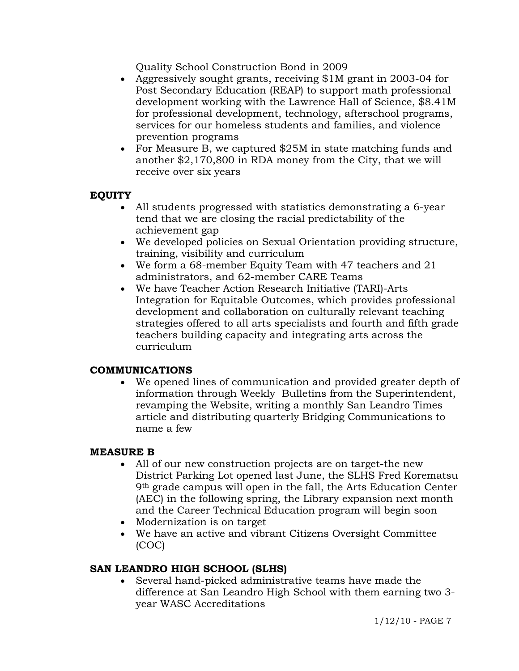Quality School Construction Bond in 2009

- Aggressively sought grants, receiving \$1M grant in 2003-04 for Post Secondary Education (REAP) to support math professional development working with the Lawrence Hall of Science, \$8.41M for professional development, technology, afterschool programs, services for our homeless students and families, and violence prevention programs
- For Measure B, we captured \$25M in state matching funds and another \$2,170,800 in RDA money from the City, that we will receive over six years

# **EQUITY**

- All students progressed with statistics demonstrating a 6-year tend that we are closing the racial predictability of the achievement gap
- We developed policies on Sexual Orientation providing structure, training, visibility and curriculum
- We form a 68-member Equity Team with 47 teachers and 21 administrators, and 62-member CARE Teams
- We have Teacher Action Research Initiative (TARI)-Arts Integration for Equitable Outcomes, which provides professional development and collaboration on culturally relevant teaching strategies offered to all arts specialists and fourth and fifth grade teachers building capacity and integrating arts across the curriculum

## **COMMUNICATIONS**

• We opened lines of communication and provided greater depth of information through Weekly Bulletins from the Superintendent, revamping the Website, writing a monthly San Leandro Times article and distributing quarterly Bridging Communications to name a few

## **MEASURE B**

- All of our new construction projects are on target-the new District Parking Lot opened last June, the SLHS Fred Korematsu 9th grade campus will open in the fall, the Arts Education Center (AEC) in the following spring, the Library expansion next month and the Career Technical Education program will begin soon
- Modernization is on target
- We have an active and vibrant Citizens Oversight Committee (COC)

# **SAN LEANDRO HIGH SCHOOL (SLHS)**

Several hand-picked administrative teams have made the difference at San Leandro High School with them earning two 3 year WASC Accreditations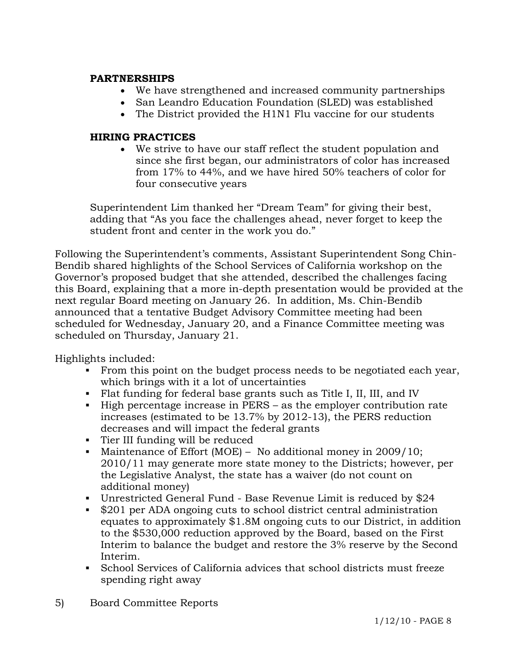## **ARTNERSHIPS P**

- We have strengthened and increased community partnerships
- San Leandro Education Foundation (SLED) was established
- The District provided the H1N1 Flu vaccine for our students

## **HIRING PRACTICES**

• We strive to have our staff reflect the student population and since she first began, our administrators of color has increased from 17% to 44%, and we have hired 50% teachers of color for four consecutive years

Superintendent Lim thanked her "Dream Team" for giving their best, adding that "As you face the challenges ahead, never forget to keep the student front and center in the work you do."

Following the Superintendent's comments, Assistant Superintendent Song Chinthis Board, explaining that a more in-depth presentation would be provided at the scheduled for Wednesday, January 20, and a Finance Committee meeting was Bendib shared highlights of the School Services of California workshop on the Governor's proposed budget that she attended, described the challenges facing next regular Board meeting on January 26. In addition, Ms. Chin-Bendib announced that a tentative Budget Advisory Committee meeting had been scheduled on Thursday, January 21.

Highlights included:

- From this point on the budget process needs to be negotiated each year, which brings with it a lot of uncertainties
- Flat funding for federal base grants such as Title I, II, III, and IV
- $\blacksquare$  High percentage increase in PERS as the employer contribution rate increases (estimated to be 13.7% by 2012-13), the PERS reduction decreases and will impact the federal grants
- **Tier III funding will be reduced**
- Maintenance of Effort (MOE) No additional money in  $2009/10$ ; 2010/11 may generate more state money to the Districts; however, per the Legislative Analyst, the state has a waiver (do not count on additional money)
- Unrestricted General Fund Base Revenue Limit is reduced by  $$24$
- equates to approximately \$1.8M ongoing cuts to our District, in addition \$201 per ADA ongoing cuts to school district central administration to the \$530,000 reduction approved by the Board, based on the First Interim to balance the budget and restore the 3% reserve by the Second Interim.
- School Services of California advices that school districts must freeze spending right away
- 5) Board Committee Reports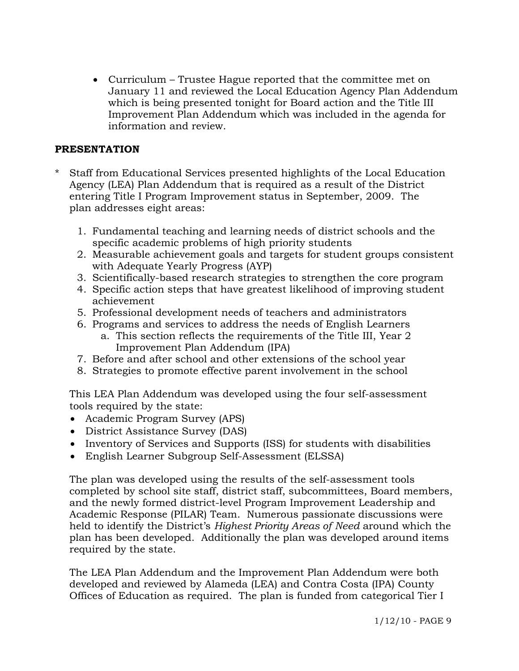• Curriculum – Trustee Hague reported that the committee met on January 11 and reviewed the Local Education Agency Plan Addendum which is being presented tonight for Board action and the Title III Improvement Plan Addendum which was included in the agenda for information and review.

## **PRESENT ATION**

- \* Staff from Educational Services presented highlights of the Local Education Agency (LEA) Plan Addendum that is required as a result of the District entering Title I Program Improvement status in September, 2009. The plan addresses eight areas:
	- 1. Fundamental teaching and learning needs of district schools and the specific academic problems of high priority students
	- 2. Measurable achievement goals and targets for student groups consistent with Adequate Yearly Progress (AYP)
	- 3. Scientifically-based research strategies to strengthen the core program
	- 4. Specific action steps that have greatest likelihood of improving student achievement
	- 5. Professional development needs of teachers and administrators
	- 6. Programs and services to address the needs of English Learners a. This section reflects the requirements of the Title III, Year 2 Improvement Plan Addendum (IPA)
	- 7. B efore and after school and other extensions of the school year
	- 8. Strategies to promote effective parent involvement in the school

This LEA Plan Addendum was developed using the four self-assessment tools required by the state:

- Academic Program Survey (APS)
- District Assistance Survey (DAS)
- Inventory of Services and Supports (ISS) for students with disabilities
- English Learner Subgroup Self-Assessment (ELSSA)

completed by school site staff, district staff, subcommittees, Board members, and the newly formed district-level Program Improvement Leadership and held to identify the District's *Highest Priority Areas of Need* around which the The plan was developed using the results of the self-assessment tools Academic Response (PILAR) Team. Numerous passionate discussions were plan has been developed. Additionally the plan was developed around items required by the state.

The LEA Plan Addendum and the Improvement Plan Addendum were both developed and reviewed by Alameda (LEA) and Contra Costa (IPA) County Offices of Education as required. The plan is funded from categorical Tier I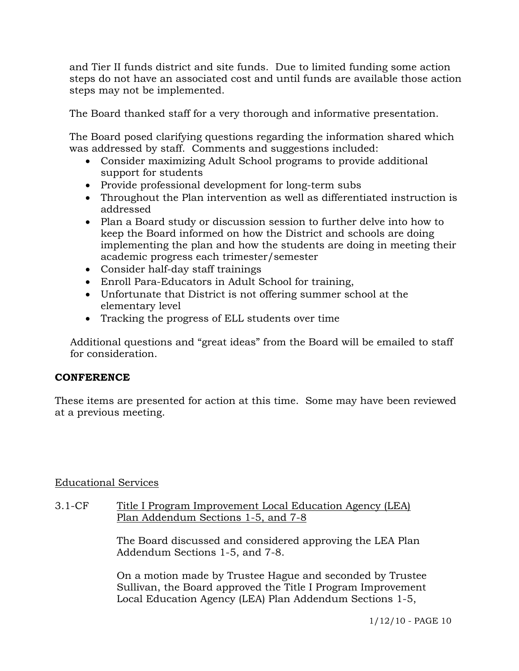and Tier II funds district and site funds. Due to limited funding some actio n steps do not have an associated cost and until funds are available those acti on steps may not be implemented.

The Board thanked staff for a ver y thorough and informative presentation.

The Board posed clarifying questions regarding the information shared which was addressed by staff. Comments and suggestions included:

- Consider maximizing Adult School programs to provide additional support for students
- Provide professional development for long-term subs
- Throughout the Plan intervention as well as differentiated instruction is addressed
- keep the Board informed on how the District and schools are doing implementing the plan and how the students are doing in meeting their • Plan a Board study or discussion session to further delve into how to academic progress each trimester/semester
- Consider half-day staff trainings
- Enroll Para-Educators in Adult School for training,
- Unfortunate that District is not offering summer school at the elementary level
- Tracking the progress of ELL students over time

 Additional questions and "great ideas" from the Board will be emailed to staff for consideration.

## **CONFERENCE**

These items are presented for action at this time. Some may have been reviewed at a previous meeting.

## **Educational Services**

## 3.1-CF Title I Program Improvement Local Education Agency (LEA) Plan Addendum Sections 1-5, and 7-8

The Board discussed and considered approving the LEA Plan Addendum Sections 1-5, and 7-8.

On a motion made by Trustee Hague and seconded by Trustee Sullivan, the Board approved the Title I Program Improvement Local Education Agency (LEA) Plan Addendum Sections 1-5,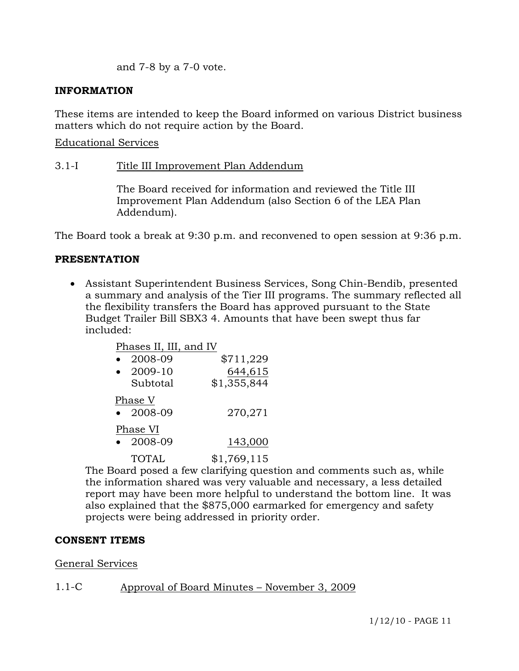and 7-8 by a 7-0 vote.

## **INFORMATION**

These items are intended to keep the Board informed on various District business matters which do not require action by the Board.

Educational Services

#### 3.1-I Title III Improvement Plan Addendum

The Board received for information and reviewed the Title III Improvement Plan Addendum (also Section 6 of the LEA Plan Addendum).

The Board took a break at 9:30 p.m. and reconvened to open session at 9:36 p.m.

#### **PRESENTATION**

• Assistant Superintendent Business Services, Song Chin-Bendib, presented a summary and analysis of the Tier III programs. The summary reflected all the flexibility transfers the Board has approved pursuant to the State Budget Trailer Bill SBX3 4. Amounts that have been swept thus far included:

| Phases II, III, and IV |                              |             |
|------------------------|------------------------------|-------------|
|                        | 2008-09                      | \$711,229   |
|                        | 2009-10                      | 644,615     |
|                        | Subtotal                     | \$1,355,844 |
|                        | Phase V<br>$\bullet$ 2008-09 | 270,271     |
|                        |                              |             |
|                        | Phase VI                     |             |
|                        | 2008-09                      | 143,000     |
|                        | TOTAL                        | \$1,769,115 |

 The Board posed a few clarifying question and comments such as, while the information shared was very valuable and necessary, a less detailed report may have been more helpful to understand the bottom line. It was also explained that the \$875,000 earmarked for emergency and safety projects were being addressed in priority order.

#### **CONSENT ITEMS**

#### General Services

#### 1.1-C Approval of Board Minutes – November 3, 2009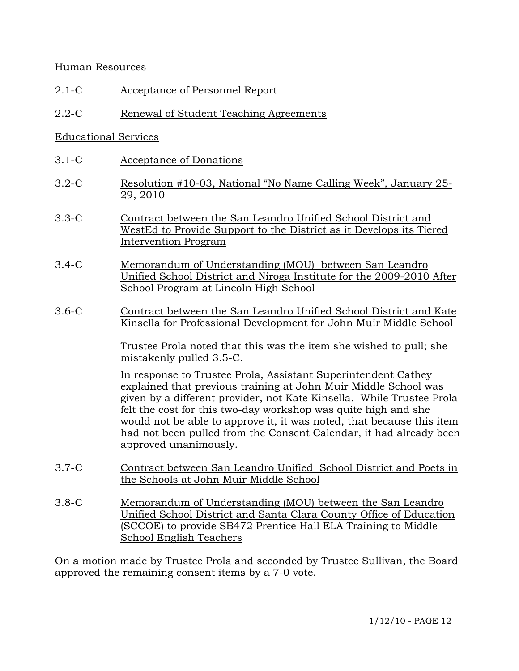## Human Resources

- 2.1-C Acceptance of Personnel Report
- 2.2-C Renewal of Student Teaching Agreements

## Educational Services

- 3.1-C Acceptance of Donations
- 3.2-C Resolution #10-03, National "No Name Calling Week", January 25- 29, 2010
- 3.3-C Contract between the San Leandro Unified School District and WestEd to Provide Support to the District as it Develops its Tiered Intervention Program
- 3.4-C Memorandum of Understanding (MOU) between San Leandro Unified School District and Niroga Institute for the 2009-2010 After School Program at Lincoln High School
- 3.6-C Contract between the San Leandro Unified School District and Kate Kinsella for Professional Development for John Muir Middle School

mistakenly pulled 3.5-C. Trustee Prola noted that this was the item she wished to pull; she

explained that previous training at John Muir Middle School was given by a different provider, not Kate Kinsella. While Trustee Prola had not been pulled from the Consent Calendar, it had already been In response to Trustee Prola, Assistant Superintendent Cathey felt the cost for this two-day workshop was quite high and she would not be able to approve it, it was noted, that because this item approved unanimously.

- 3.7-C Contract between San Leandro Unified School District and Poets in the Schools at John Muir Middle School
- 3.8-C Memorandum of Understanding (MOU) between the San Leandro Unified School District and Santa Clara County Office of Education (SCCOE) to provide SB472 Prentice Hall ELA Training to Middle School English Teachers

On a motion made by Trustee Prola and seconded by Trustee Sullivan, the Board approved the remaining consent items by a 7-0 vote.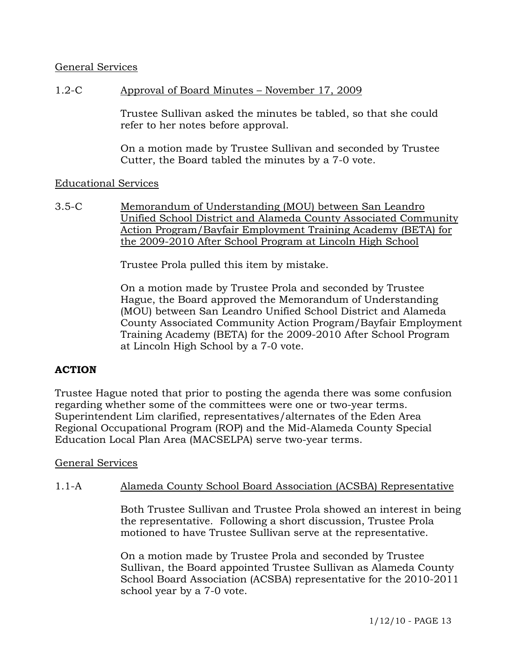## General Services

## 1.2-C Approval of Board Minutes – November 17, 2009

Trustee Sullivan asked the minutes be tabled, so that she could refer to her notes before approval.

On a motion made by Trustee Sullivan and seconded by Trustee Cutter, the Board tabled the minutes by a 7-0 vote.

## Educational Services

3.5-C Memorandum of Understanding (MOU) between San Leandro Unified School District and Alameda County Associated Community Action Program/Bayfair Employment Training Academy (BETA) for the 2009-2010 After School Program at Lincoln High School

Trustee Prola pulled this item by mistake.

Hague, the Board approved the Memorandum of Understanding (MOU) between San Leandro Unified School District and Alameda County Associated Community Action Program/Bayfair Employment Training Academy (BETA) for the 2009-2010 After School Program On a motion made by Trustee Prola and seconded by Trustee at Lincoln High School by a 7-0 vote.

# **ACTION**

Trustee Hague noted that prior to posting the agenda there was some confusion regarding whether some of the committees were one or two-year terms. Superintendent Lim clarified, representatives/alternates of the Eden Area Regional Occupational Program (ROP) and the Mid-Alameda County Special Education Local Plan Area (MACSELPA) serve two-year terms.

## General Services

## 1.1-A Alameda County School Board Association (ACSBA) Representative

Both Trustee Sullivan and Trustee Prola showed an interest in being the representative. Following a short discussion, Trustee Prola motioned to have Trustee Sullivan serve at the representative.

Sullivan, the Board appointed Trustee Sullivan as Alameda County School Board Association (ACSBA) representative for the 2010-2011 school year by a 7-0 vote. On a motion made by Trustee Prola and seconded by Trustee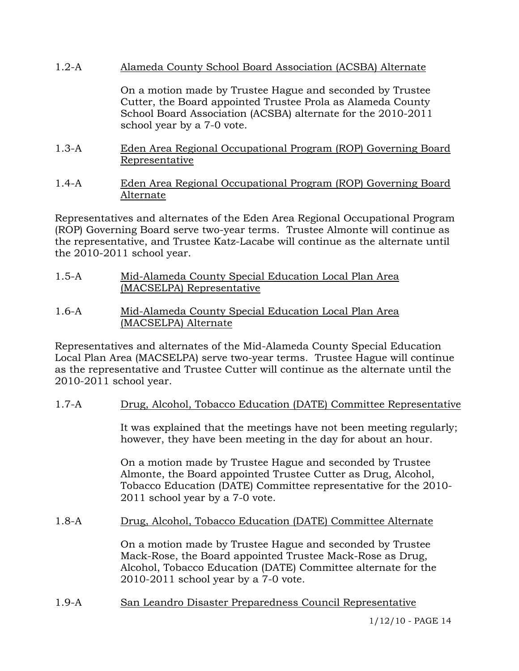1.2-A Alameda County School Board Association (ACSBA) Alternate

On a motion made by Trustee Hague and seconded by Trustee Cutter, the Board appointed Trustee Prola as Alameda County school year by a 7-0 vote. School Board Association (ACSBA) alternate for the 2010-2011

- 1.3-A Eden Area Regional Occupational Program (ROP) Governing Board Representative
- 1.4-A Eden Area Regional Occupational Program (ROP) Governing Board Alternate

Representatives and alternates of the Eden Area Regional Occupational Program (ROP) Governing Board serve two-year terms. Trustee Almonte will continue as the representative, and Trustee Katz-Lacabe will continue as the alternate until the  $2010-2011$  school year.

- 1.5-A Mid-Alameda County Special Education Local Plan Area (MACSELPA) Representative
- 1.6-A Mid-Alameda County Special Education Local Plan Area (MACSELPA) Alternate

Representatives and alternates of the Mid-Alameda County Special Education Local Plan Area (MACSELPA) serve two-year terms. Trustee Hague will continue as the representative and Trustee Cutter will continue as the alternate until the 2010-2011 school year.

1.7-A Drug, Alcohol, Tobacco Education (DATE) Committee Representative

It was explained that the meetings have not been meeting regularly; however, they have been meeting in the day for about an hour.

On a motion made by Trustee Hague and seconded by Trustee Tobacco Education (DATE) Committee representative for the 2010-2011 school year by a 7-0 vote. Almonte, the Board appointed Trustee Cutter as Drug, Alcohol,

1.8-A Drug, Alcohol, Tobacco Education (DATE) Committee Alternate

> On a motion made by Trustee Hague and seconded by Trustee Mack-Rose, the Board appointed Trustee Mack-Rose as Drug, 2010-2011 school year by a 7-0 vote. Alcohol, Tobacco Education (DATE) Committee alternate for the

1.9-A San Leandro Disaster Preparedness Council Representative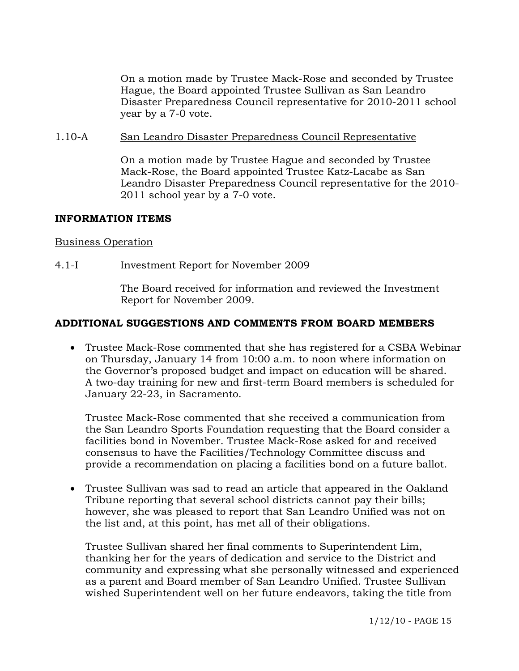On a motion made by Trustee Mack-Rose and seconded by Trustee Hague, the Board appointed Trustee Sullivan as San Leandro Disaster Preparedness Council representative for 2010-2011 school year by a 7-0 vote.

#### 1.10-A San Leandro Disaster Preparedness Council Representative

On a motion made by Trustee Hague and seconded by Trustee Mack-Rose, the Board appointed Trustee Katz-Lacabe as San Leandro Disaster Preparedness Council representative for the 2010-2011 school year by a 7-0 vote.

### INFORMATION ITEMS

#### Business Op eration

#### 4.1-I Investment Report for November 2009

The Board received for information and reviewed the Investment Report for November 2009.

### **ADDITIONAL SUGGESTIONS AND COMMENTS FROM BOARD MEMBERS**

• Trustee Mack-Rose commented that she has registered for a CSBA Webinar on Thursday, January 14 from 10:00 a.m. to noon where information on . the Governor's proposed budget and impact on education will be shared A two-day training for new and first-term Board members is scheduled for January 22-23, in Sacramento.

facilities bond in November. Trustee Mack-Rose asked for and received onsensus to have the Facilities/Technology Committee discuss and c Trustee Mack-Rose commented that she received a communication from the San Leandro Sports Foundation requesting that the Board consider a provide a recommendation on placing a facilities bond on a future ballot.

• Trustee Sullivan was sad to read an article that appeared in the Oakland the list and, at this point, has met all of their obligations. Tribune reporting that several school districts cannot pay their bills; however, she was pleased to report that San Leandro Unified was not on

community and expressing what she personally witnessed and experienced as a parent and Board member of San Leandro Unified. Trustee Sullivan wished Superintendent well on her future endeavors, taking the title from Trustee Sullivan shared her final comments to Superintendent Lim, thanking her for the years of dedication and service to the District and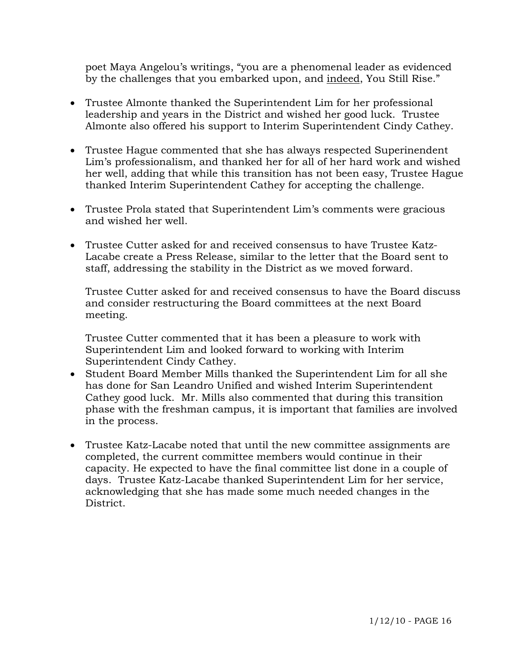poet Maya Angelou's writings, "you are a phenomenal leader as evide nced by the challenges that you embarked upon, and indeed, You Still Rise."

- Trustee Almonte thanked the Superintendent Lim for her professional leadership and years in the District and wished her good luck. Trustee Almonte also offered his support to Interim Superintendent Cindy Cathey.
- Trustee Hague commented that she has always respected Superinendent Lim's professionalism, and thanked her for all of her hard work and wished her well, adding that while this transition has not been easy, Trustee Hague thanked Interim Superintendent Cathey for accepting the challenge.
- Trustee Prola stated that Superintendent Lim's comments were gracious and wished her well.
- Trustee Cutter asked for and received consensus to have Trustee Katz-Lacabe create a Press Release, similar to the letter that the Board sent to staff, addressing the stability in the District as we moved forward.

Trustee Cutter asked for and received consensus to have the Board discuss and consider restructuring the Board committees at the next Board meeting.

Trustee Cutter commented that it has been a pleasure to work with Superintendent Lim and looked forward to working with Interim Superintendent Cindy Cathey.

- Student Board Member Mills thanked the Superintendent Lim for all she has done for San Leandro Unified and wished Interim Superintendent Cathey good luck. Mr. Mills also commented that during this transition phase with the freshman campus, it is important that families are involved in the process.
- Trustee Katz-Lacabe noted that until the new committee assignments are days. Trustee Katz-Lacabe thanked Superintendent Lim for her service, acknowledging that she has made some much needed changes in the completed, the current committee members would continue in their capacity. He expected to have the final committee list done in a couple of District.